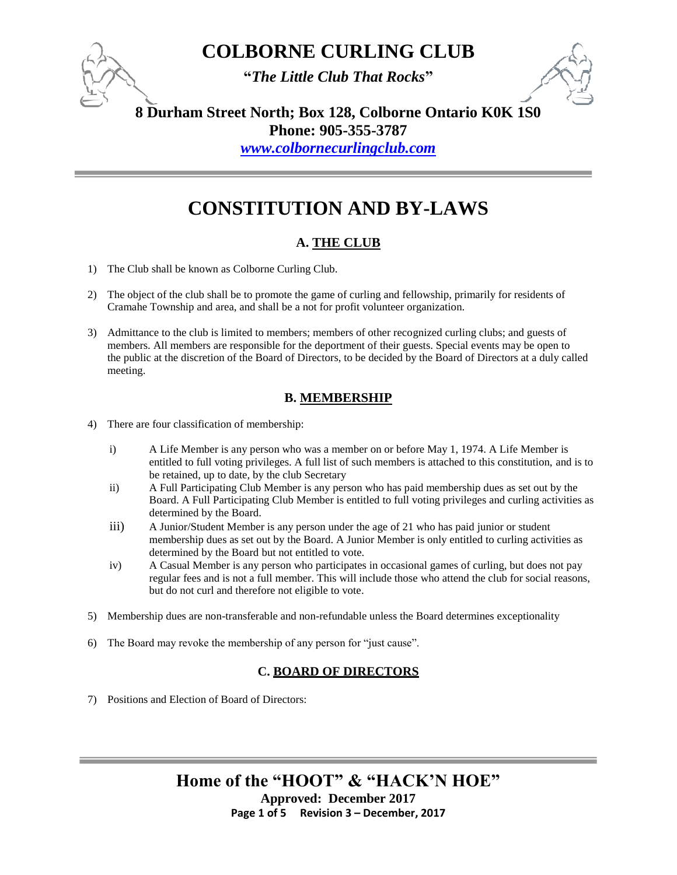**"***The Little Club That Rocks***"**



**8 Durham Street North; Box 128, Colborne Ontario K0K 1S0**

**Phone: 905-355-3787** 

*[www.colbornecurlingclub.com](http://www.colbornecurlingclub.com/)*

## **CONSTITUTION AND BY-LAWS**

### **A. THE CLUB**

- 1) The Club shall be known as Colborne Curling Club.
- 2) The object of the club shall be to promote the game of curling and fellowship, primarily for residents of Cramahe Township and area, and shall be a not for profit volunteer organization.
- 3) Admittance to the club is limited to members; members of other recognized curling clubs; and guests of members. All members are responsible for the deportment of their guests. Special events may be open to the public at the discretion of the Board of Directors, to be decided by the Board of Directors at a duly called meeting.

#### **B. MEMBERSHIP**

- 4) There are four classification of membership:
	- i) A Life Member is any person who was a member on or before May 1, 1974. A Life Member is entitled to full voting privileges. A full list of such members is attached to this constitution, and is to be retained, up to date, by the club Secretary
	- ii) A Full Participating Club Member is any person who has paid membership dues as set out by the Board. A Full Participating Club Member is entitled to full voting privileges and curling activities as determined by the Board.
	- iii) A Junior/Student Member is any person under the age of 21 who has paid junior or student membership dues as set out by the Board. A Junior Member is only entitled to curling activities as determined by the Board but not entitled to vote.
	- iv) A Casual Member is any person who participates in occasional games of curling, but does not pay regular fees and is not a full member. This will include those who attend the club for social reasons, but do not curl and therefore not eligible to vote.
- 5) Membership dues are non-transferable and non-refundable unless the Board determines exceptionality
- 6) The Board may revoke the membership of any person for "just cause".

#### **C. BOARD OF DIRECTORS**

7) Positions and Election of Board of Directors: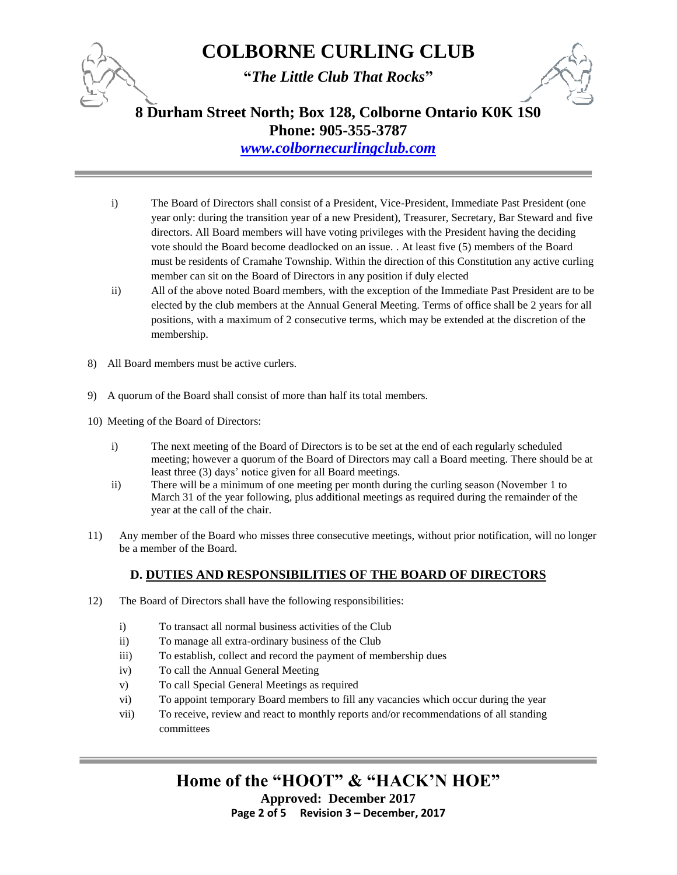

**"***The Little Club That Rocks***"**



**8 Durham Street North; Box 128, Colborne Ontario K0K 1S0**

**Phone: 905-355-3787** 

*[www.colbornecurlingclub.com](http://www.colbornecurlingclub.com/)*

- i) The Board of Directors shall consist of a President, Vice-President, Immediate Past President (one year only: during the transition year of a new President), Treasurer, Secretary, Bar Steward and five directors. All Board members will have voting privileges with the President having the deciding vote should the Board become deadlocked on an issue. . At least five (5) members of the Board must be residents of Cramahe Township. Within the direction of this Constitution any active curling member can sit on the Board of Directors in any position if duly elected
- ii) All of the above noted Board members, with the exception of the Immediate Past President are to be elected by the club members at the Annual General Meeting. Terms of office shall be 2 years for all positions, with a maximum of 2 consecutive terms, which may be extended at the discretion of the membership.
- 8) All Board members must be active curlers.
- 9) A quorum of the Board shall consist of more than half its total members.
- 10) Meeting of the Board of Directors:
	- i) The next meeting of the Board of Directors is to be set at the end of each regularly scheduled meeting; however a quorum of the Board of Directors may call a Board meeting. There should be at least three (3) days' notice given for all Board meetings.
	- ii) There will be a minimum of one meeting per month during the curling season (November 1 to March 31 of the year following, plus additional meetings as required during the remainder of the year at the call of the chair.
- 11) Any member of the Board who misses three consecutive meetings, without prior notification, will no longer be a member of the Board.

#### **D. DUTIES AND RESPONSIBILITIES OF THE BOARD OF DIRECTORS**

- 12) The Board of Directors shall have the following responsibilities:
	- i) To transact all normal business activities of the Club
	- ii) To manage all extra-ordinary business of the Club
	- iii) To establish, collect and record the payment of membership dues
	- iv) To call the Annual General Meeting
	- v) To call Special General Meetings as required
	- vi) To appoint temporary Board members to fill any vacancies which occur during the year
	- vii) To receive, review and react to monthly reports and/or recommendations of all standing committees

**Home of the "HOOT" & "HACK'N HOE" Approved: December 2017**

**Page 2 of 5 Revision 3 – December, 2017**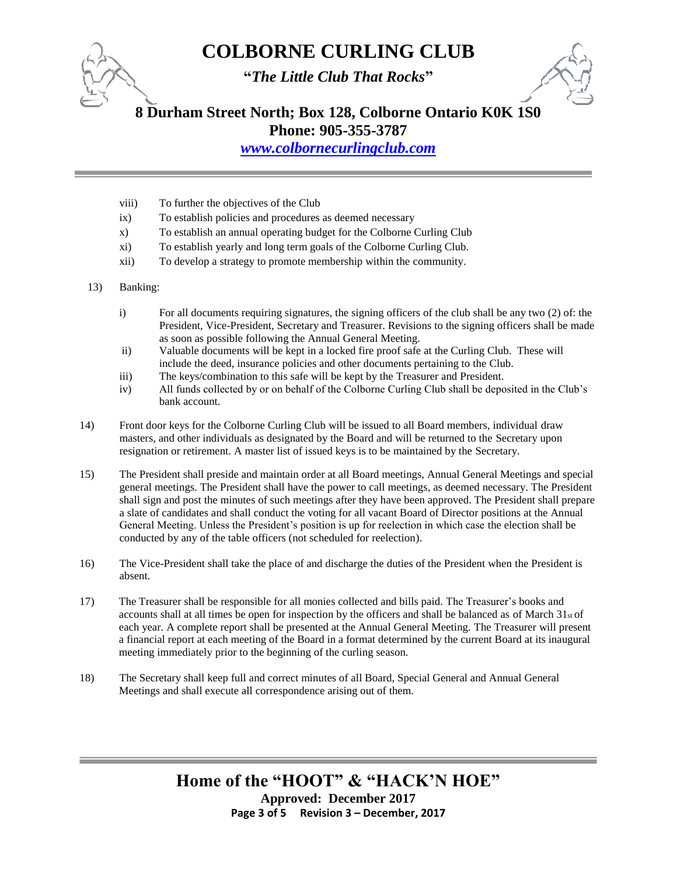

**"***The Little Club That Rocks***"**



**8 Durham Street North; Box 128, Colborne Ontario K0K 1S0**

**Phone: 905-355-3787** 

*[www.colbornecurlingclub.com](http://www.colbornecurlingclub.com/)*

- viii) To further the objectives of the Club
- ix) To establish policies and procedures as deemed necessary
- x) To establish an annual operating budget for the Colborne Curling Club
- xi) To establish yearly and long term goals of the Colborne Curling Club.
- xii) To develop a strategy to promote membership within the community.
- 13) Banking:
	- i) For all documents requiring signatures, the signing officers of the club shall be any two (2) of: the President, Vice-President, Secretary and Treasurer. Revisions to the signing officers shall be made as soon as possible following the Annual General Meeting.
	- ii) Valuable documents will be kept in a locked fire proof safe at the Curling Club. These will include the deed, insurance policies and other documents pertaining to the Club.
	- iii) The keys/combination to this safe will be kept by the Treasurer and President.
	- iv) All funds collected by or on behalf of the Colborne Curling Club shall be deposited in the Club's bank account.
- 14) Front door keys for the Colborne Curling Club will be issued to all Board members, individual draw masters, and other individuals as designated by the Board and will be returned to the Secretary upon resignation or retirement. A master list of issued keys is to be maintained by the Secretary.
- 15) The President shall preside and maintain order at all Board meetings, Annual General Meetings and special general meetings. The President shall have the power to call meetings, as deemed necessary. The President shall sign and post the minutes of such meetings after they have been approved. The President shall prepare a slate of candidates and shall conduct the voting for all vacant Board of Director positions at the Annual General Meeting. Unless the President's position is up for reelection in which case the election shall be conducted by any of the table officers (not scheduled for reelection).
- 16) The Vice-President shall take the place of and discharge the duties of the President when the President is absent.
- 17) The Treasurer shall be responsible for all monies collected and bills paid. The Treasurer's books and accounts shall at all times be open for inspection by the officers and shall be balanced as of March  $31<sub>st</sub>$  of each year. A complete report shall be presented at the Annual General Meeting. The Treasurer will present a financial report at each meeting of the Board in a format determined by the current Board at its inaugural meeting immediately prior to the beginning of the curling season.
- 18) The Secretary shall keep full and correct minutes of all Board, Special General and Annual General Meetings and shall execute all correspondence arising out of them.

### **Home of the "HOOT" & "HACK'N HOE" Approved: December 2017 Page 3 of 5 Revision 3 – December, 2017**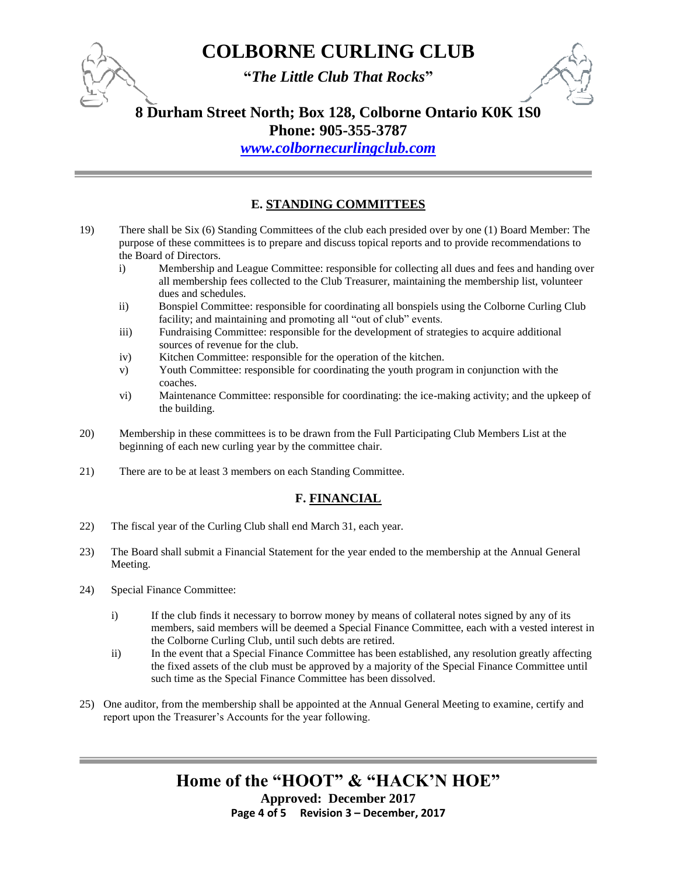**"***The Little Club That Rocks***"**

### **8 Durham Street North; Box 128, Colborne Ontario K0K 1S0**

**Phone: 905-355-3787** 

*[www.colbornecurlingclub.com](http://www.colbornecurlingclub.com/)*

### **E. STANDING COMMITTEES**

- 19) There shall be Six (6) Standing Committees of the club each presided over by one (1) Board Member: The purpose of these committees is to prepare and discuss topical reports and to provide recommendations to the Board of Directors.
	- i) Membership and League Committee: responsible for collecting all dues and fees and handing over all membership fees collected to the Club Treasurer, maintaining the membership list, volunteer dues and schedules.
	- ii) Bonspiel Committee: responsible for coordinating all bonspiels using the Colborne Curling Club facility; and maintaining and promoting all "out of club" events.
	- iii) Fundraising Committee: responsible for the development of strategies to acquire additional sources of revenue for the club.
	- iv) Kitchen Committee: responsible for the operation of the kitchen.
	- v) Youth Committee: responsible for coordinating the youth program in conjunction with the coaches.
	- vi) Maintenance Committee: responsible for coordinating: the ice-making activity; and the upkeep of the building.
- 20) Membership in these committees is to be drawn from the Full Participating Club Members List at the beginning of each new curling year by the committee chair.
- 21) There are to be at least 3 members on each Standing Committee.

#### **F. FINANCIAL**

- 22) The fiscal year of the Curling Club shall end March 31, each year.
- 23) The Board shall submit a Financial Statement for the year ended to the membership at the Annual General Meeting.
- 24) Special Finance Committee:
	- i) If the club finds it necessary to borrow money by means of collateral notes signed by any of its members, said members will be deemed a Special Finance Committee, each with a vested interest in the Colborne Curling Club, until such debts are retired.
	- ii) In the event that a Special Finance Committee has been established, any resolution greatly affecting the fixed assets of the club must be approved by a majority of the Special Finance Committee until such time as the Special Finance Committee has been dissolved.
- 25) One auditor, from the membership shall be appointed at the Annual General Meeting to examine, certify and report upon the Treasurer's Accounts for the year following.

**Home of the "HOOT" & "HACK'N HOE" Approved: December 2017 Page 4 of 5 Revision 3 – December, 2017**